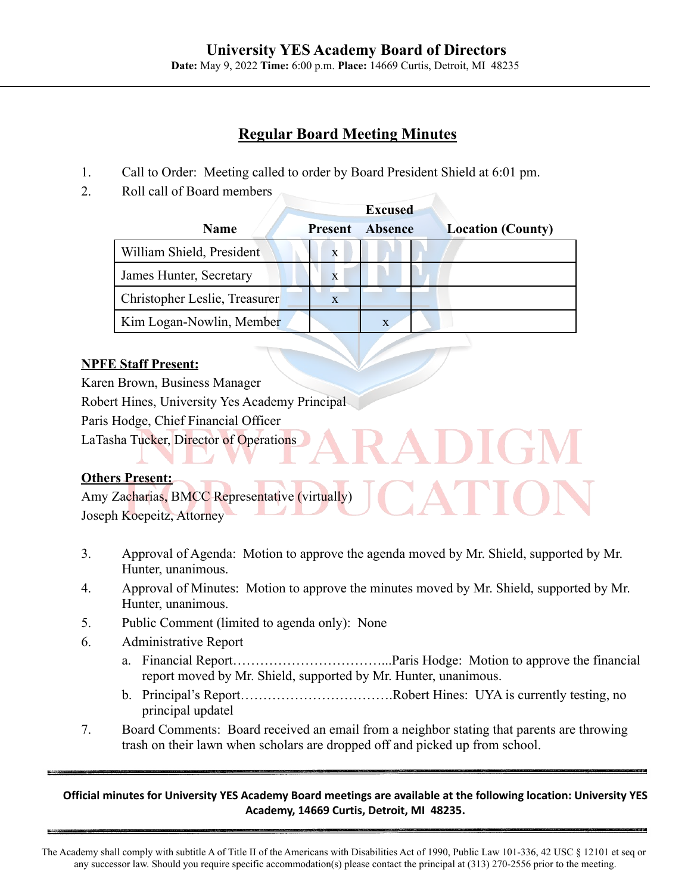# **Regular Board Meeting Minutes**

- 1. Call to Order: Meeting called to order by Board President Shield at 6:01 pm.
- 2. Roll call of Board members

|                               | <b>Excused</b> |                |                          |
|-------------------------------|----------------|----------------|--------------------------|
| <b>Name</b>                   | <b>Present</b> | <b>Absence</b> | <b>Location (County)</b> |
| William Shield, President     | $\mathbf{x}$   |                |                          |
| James Hunter, Secretary       | X              |                |                          |
| Christopher Leslie, Treasurer | X              |                |                          |
| Kim Logan-Nowlin, Member      |                | X              |                          |

## **NPFE Staff Present:**

Karen Brown, Business Manager Robert Hines, University Yes Academy Principal Paris Hodge, Chief Financial Officer LaTasha Tucker, Director of Operations

# **Others Present:**

Amy Zacharias, BMCC Representative (virtually) Joseph Koepeitz, Attorney

- 3. Approval of Agenda: Motion to approve the agenda moved by Mr. Shield, supported by Mr. Hunter, unanimous.
- 4. Approval of Minutes: Motion to approve the minutes moved by Mr. Shield, supported by Mr. Hunter, unanimous.
- 5. Public Comment (limited to agenda only): None
- 6. Administrative Report
	- a. Financial Report……………………………...Paris Hodge: Motion to approve the financial report moved by Mr. Shield, supported by Mr. Hunter, unanimous.
	- b. Principal's Report…………………………….Robert Hines: UYA is currently testing, no principal updatel
- 7. Board Comments: Board received an email from a neighbor stating that parents are throwing trash on their lawn when scholars are dropped off and picked up from school.

Official minutes for University YES Academy Board meetings are available at the following location: University YES **Academy, 14669 Curtis, Detroit, MI 48235.**

The Academy shall comply with subtitle A of Title II of the Americans with Disabilities Act of 1990, Public Law 101-336, 42 USC § 12101 et seq or any successor law. Should you require specific accommodation(s) please contact the principal at (313) 270-2556 prior to the meeting.